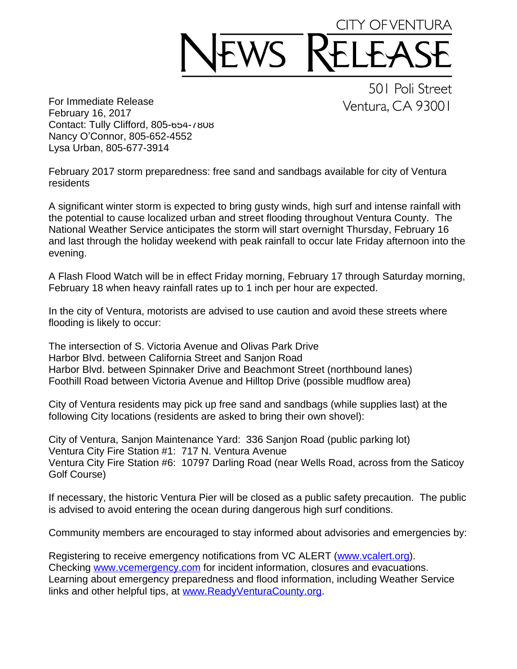## CITY OF VENTURA WS

For Immediate Release February 16, 2017 Contact: Tully Clifford, 805-654-7808 Nancy O'Connor, 805-652-4552 Lysa Urban, 805-677-3914

501 Poli Street Ventura, CA 93001

February 2017 storm preparedness: free sand and sandbags available for city of Ventura residents

A significant winter storm is expected to bring gusty winds, high surf and intense rainfall with the potential to cause localized urban and street flooding throughout Ventura County. The National Weather Service anticipates the storm will start overnight Thursday, February 16 and last through the holiday weekend with peak rainfall to occur late Friday afternoon into the evening.

A Flash Flood Watch will be in effect Friday morning, February 17 through Saturday morning, February 18 when heavy rainfall rates up to 1 inch per hour are expected.

In the city of Ventura, motorists are advised to use caution and avoid these streets where flooding is likely to occur:

The intersection of S. Victoria Avenue and Olivas Park Drive Harbor Blvd. between California Street and Sanjon Road Harbor Blvd. between Spinnaker Drive and Beachmont Street (northbound lanes) Foothill Road between Victoria Avenue and Hilltop Drive (possible mudflow area)

City of Ventura residents may pick up free sand and sandbags (while supplies last) at the following City locations (residents are asked to bring their own shovel):

City of Ventura, Sanjon Maintenance Yard: 336 Sanjon Road (public parking lot) Ventura City Fire Station #1: 717 N. Ventura Avenue Ventura City Fire Station #6: 10797 Darling Road (near Wells Road, across from the Saticoy Golf Course)

If necessary, the historic Ventura Pier will be closed as a public safety precaution. The public is advised to avoid entering the ocean during dangerous high surf conditions.

Community members are encouraged to stay informed about advisories and emergencies by:

Registering to receive emergency notifications from VC ALERT ([www.vcalert.org](http://www.vcalert.org)). Checking [www.vcemergency.com](http://www.vcemergency.com) for incident information, closures and evacuations. Learning about emergency preparedness and flood information, including Weather Service links and other helpful tips, at [www.ReadyVenturaCounty.org](http://www.ReadyVenturaCounty.org).